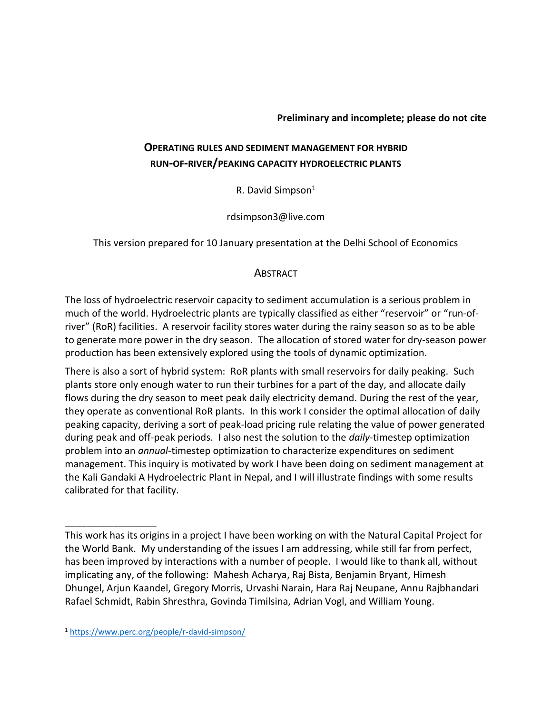#### **Preliminary and incomplete; please do not cite**

# **OPERATING RULES AND SEDIMENT MANAGEMENT FOR HYBRID RUN-OF-RIVER/PEAKING CAPACITY HYDROELECTRIC PLANTS**

R. David Simpson $1$ 

rdsimpson3@live.com

This version prepared for 10 January presentation at the Delhi School of Economics

### **ABSTRACT**

The loss of hydroelectric reservoir capacity to sediment accumulation is a serious problem in much of the world. Hydroelectric plants are typically classified as either "reservoir" or "run-ofriver" (RoR) facilities. A reservoir facility stores water during the rainy season so as to be able to generate more power in the dry season. The allocation of stored water for dry-season power production has been extensively explored using the tools of dynamic optimization.

There is also a sort of hybrid system: RoR plants with small reservoirs for daily peaking. Such plants store only enough water to run their turbines for a part of the day, and allocate daily flows during the dry season to meet peak daily electricity demand. During the rest of the year, they operate as conventional RoR plants. In this work I consider the optimal allocation of daily peaking capacity, deriving a sort of peak-load pricing rule relating the value of power generated during peak and off-peak periods. I also nest the solution to the *daily*-timestep optimization problem into an *annual*-timestep optimization to characterize expenditures on sediment management. This inquiry is motivated by work I have been doing on sediment management at the Kali Gandaki A Hydroelectric Plant in Nepal, and I will illustrate findings with some results calibrated for that facility.

\_\_\_\_\_\_\_\_\_\_\_\_\_\_\_\_\_

This work has its origins in a project I have been working on with the Natural Capital Project for the World Bank. My understanding of the issues I am addressing, while still far from perfect, has been improved by interactions with a number of people. I would like to thank all, without implicating any, of the following: Mahesh Acharya, Raj Bista, Benjamin Bryant, Himesh Dhungel, Arjun Kaandel, Gregory Morris, Urvashi Narain, Hara Raj Neupane, Annu Rajbhandari Rafael Schmidt, Rabin Shresthra, Govinda Timilsina, Adrian Vogl, and William Young.

<sup>1</sup> <https://www.perc.org/people/r-david-simpson/>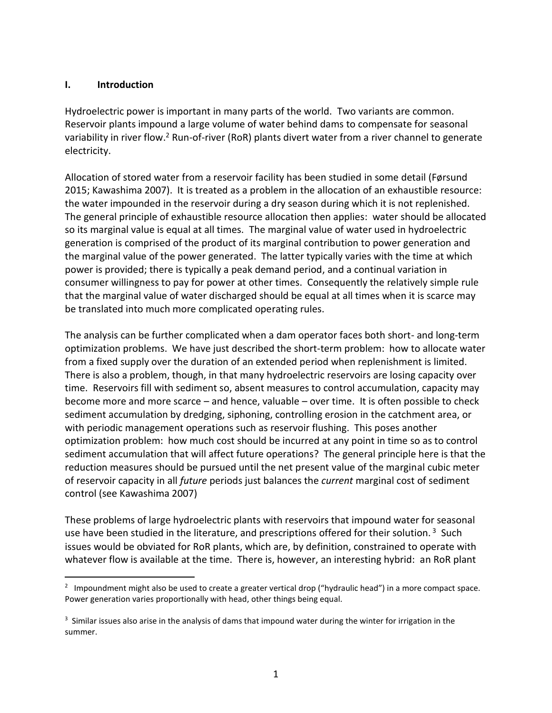### **I. Introduction**

Hydroelectric power is important in many parts of the world. Two variants are common. Reservoir plants impound a large volume of water behind dams to compensate for seasonal variability in river flow.<sup>2</sup> Run-of-river (RoR) plants divert water from a river channel to generate electricity.

Allocation of stored water from a reservoir facility has been studied in some detail (Førsund 2015; Kawashima 2007). It is treated as a problem in the allocation of an exhaustible resource: the water impounded in the reservoir during a dry season during which it is not replenished. The general principle of exhaustible resource allocation then applies: water should be allocated so its marginal value is equal at all times. The marginal value of water used in hydroelectric generation is comprised of the product of its marginal contribution to power generation and the marginal value of the power generated. The latter typically varies with the time at which power is provided; there is typically a peak demand period, and a continual variation in consumer willingness to pay for power at other times. Consequently the relatively simple rule that the marginal value of water discharged should be equal at all times when it is scarce may be translated into much more complicated operating rules.

The analysis can be further complicated when a dam operator faces both short- and long-term optimization problems. We have just described the short-term problem: how to allocate water from a fixed supply over the duration of an extended period when replenishment is limited. There is also a problem, though, in that many hydroelectric reservoirs are losing capacity over time. Reservoirs fill with sediment so, absent measures to control accumulation, capacity may become more and more scarce – and hence, valuable – over time. It is often possible to check sediment accumulation by dredging, siphoning, controlling erosion in the catchment area, or with periodic management operations such as reservoir flushing. This poses another optimization problem: how much cost should be incurred at any point in time so as to control sediment accumulation that will affect future operations? The general principle here is that the reduction measures should be pursued until the net present value of the marginal cubic meter of reservoir capacity in all *future* periods just balances the *current* marginal cost of sediment control (see Kawashima 2007)

These problems of large hydroelectric plants with reservoirs that impound water for seasonal use have been studied in the literature, and prescriptions offered for their solution.<sup>3</sup> Such issues would be obviated for RoR plants, which are, by definition, constrained to operate with whatever flow is available at the time. There is, however, an interesting hybrid: an RoR plant

 $\overline{a}$  $2$  Impoundment might also be used to create a greater vertical drop ("hydraulic head") in a more compact space. Power generation varies proportionally with head, other things being equal.

<sup>&</sup>lt;sup>3</sup> Similar issues also arise in the analysis of dams that impound water during the winter for irrigation in the summer.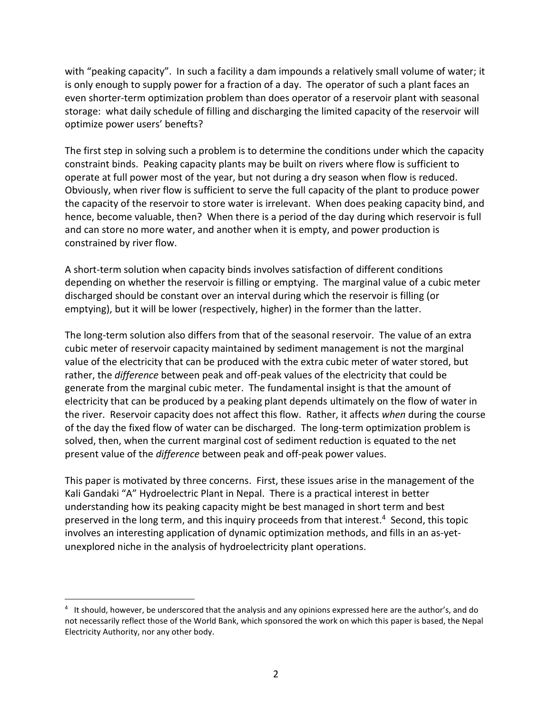with "peaking capacity". In such a facility a dam impounds a relatively small volume of water; it is only enough to supply power for a fraction of a day. The operator of such a plant faces an even shorter-term optimization problem than does operator of a reservoir plant with seasonal storage: what daily schedule of filling and discharging the limited capacity of the reservoir will optimize power users' benefts?

The first step in solving such a problem is to determine the conditions under which the capacity constraint binds. Peaking capacity plants may be built on rivers where flow is sufficient to operate at full power most of the year, but not during a dry season when flow is reduced. Obviously, when river flow is sufficient to serve the full capacity of the plant to produce power the capacity of the reservoir to store water is irrelevant. When does peaking capacity bind, and hence, become valuable, then? When there is a period of the day during which reservoir is full and can store no more water, and another when it is empty, and power production is constrained by river flow.

A short-term solution when capacity binds involves satisfaction of different conditions depending on whether the reservoir is filling or emptying. The marginal value of a cubic meter discharged should be constant over an interval during which the reservoir is filling (or emptying), but it will be lower (respectively, higher) in the former than the latter.

The long-term solution also differs from that of the seasonal reservoir. The value of an extra cubic meter of reservoir capacity maintained by sediment management is not the marginal value of the electricity that can be produced with the extra cubic meter of water stored, but rather, the *difference* between peak and off-peak values of the electricity that could be generate from the marginal cubic meter. The fundamental insight is that the amount of electricity that can be produced by a peaking plant depends ultimately on the flow of water in the river. Reservoir capacity does not affect this flow. Rather, it affects *when* during the course of the day the fixed flow of water can be discharged. The long-term optimization problem is solved, then, when the current marginal cost of sediment reduction is equated to the net present value of the *difference* between peak and off-peak power values.

This paper is motivated by three concerns. First, these issues arise in the management of the Kali Gandaki "A" Hydroelectric Plant in Nepal. There is a practical interest in better understanding how its peaking capacity might be best managed in short term and best preserved in the long term, and this inquiry proceeds from that interest.<sup>4</sup> Second, this topic involves an interesting application of dynamic optimization methods, and fills in an as-yetunexplored niche in the analysis of hydroelectricity plant operations.

<sup>4</sup> It should, however, be underscored that the analysis and any opinions expressed here are the author's, and do not necessarily reflect those of the World Bank, which sponsored the work on which this paper is based, the Nepal Electricity Authority, nor any other body.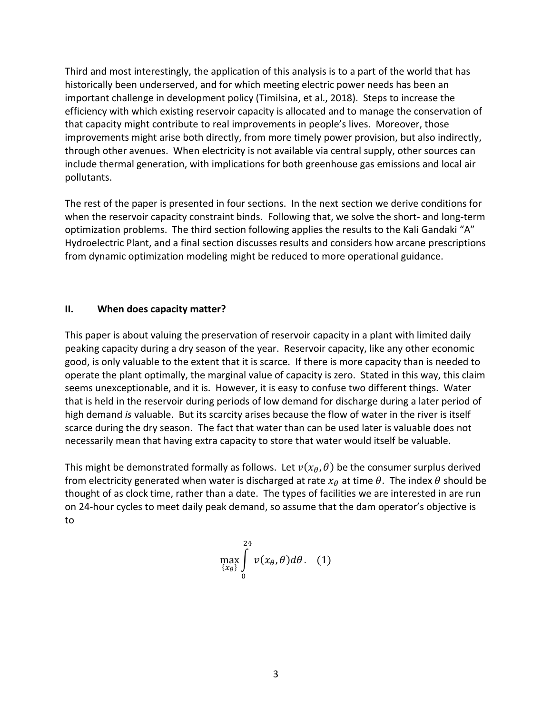Third and most interestingly, the application of this analysis is to a part of the world that has historically been underserved, and for which meeting electric power needs has been an important challenge in development policy (Timilsina, et al., 2018). Steps to increase the efficiency with which existing reservoir capacity is allocated and to manage the conservation of that capacity might contribute to real improvements in people's lives. Moreover, those improvements might arise both directly, from more timely power provision, but also indirectly, through other avenues. When electricity is not available via central supply, other sources can include thermal generation, with implications for both greenhouse gas emissions and local air pollutants.

The rest of the paper is presented in four sections. In the next section we derive conditions for when the reservoir capacity constraint binds. Following that, we solve the short- and long-term optimization problems. The third section following applies the results to the Kali Gandaki "A" Hydroelectric Plant, and a final section discusses results and considers how arcane prescriptions from dynamic optimization modeling might be reduced to more operational guidance.

### **II. When does capacity matter?**

This paper is about valuing the preservation of reservoir capacity in a plant with limited daily peaking capacity during a dry season of the year. Reservoir capacity, like any other economic good, is only valuable to the extent that it is scarce. If there is more capacity than is needed to operate the plant optimally, the marginal value of capacity is zero. Stated in this way, this claim seems unexceptionable, and it is. However, it is easy to confuse two different things. Water that is held in the reservoir during periods of low demand for discharge during a later period of high demand *is* valuable. But its scarcity arises because the flow of water in the river is itself scarce during the dry season. The fact that water than can be used later is valuable does not necessarily mean that having extra capacity to store that water would itself be valuable.

This might be demonstrated formally as follows. Let  $v(x_0, \theta)$  be the consumer surplus derived from electricity generated when water is discharged at rate  $x_{\theta}$  at time  $\theta$ . The index  $\theta$  should be thought of as clock time, rather than a date. The types of facilities we are interested in are run on 24-hour cycles to meet daily peak demand, so assume that the dam operator's objective is to

$$
\max_{\{x_{\theta}\}} \int\limits_{0}^{24} v(x_{\theta}, \theta) d\theta. \quad (1)
$$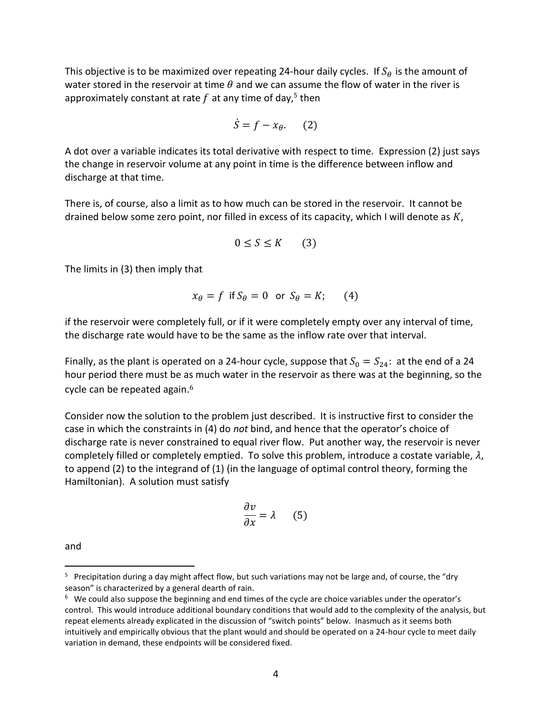This objective is to be maximized over repeating 24-hour daily cycles. If  $S_{\theta}$  is the amount of water stored in the reservoir at time  $\theta$  and we can assume the flow of water in the river is approximately constant at rate  $f$  at any time of day,<sup>5</sup> then

$$
\dot{S} = f - x_{\theta}.\qquad(2)
$$

A dot over a variable indicates its total derivative with respect to time. Expression (2) just says the change in reservoir volume at any point in time is the difference between inflow and discharge at that time.

There is, of course, also a limit as to how much can be stored in the reservoir. It cannot be drained below some zero point, nor filled in excess of its capacity, which I will denote as  $K$ ,

$$
0 \le S \le K \qquad (3)
$$

The limits in (3) then imply that

$$
x_{\theta} = f \text{ if } S_{\theta} = 0 \text{ or } S_{\theta} = K; \qquad (4)
$$

if the reservoir were completely full, or if it were completely empty over any interval of time, the discharge rate would have to be the same as the inflow rate over that interval.

Finally, as the plant is operated on a 24-hour cycle, suppose that  $S_0 = S_{24}$ : at the end of a 24 hour period there must be as much water in the reservoir as there was at the beginning, so the cycle can be repeated again.<sup>6</sup>

Consider now the solution to the problem just described. It is instructive first to consider the case in which the constraints in (4) do *not* bind, and hence that the operator's choice of discharge rate is never constrained to equal river flow. Put another way, the reservoir is never completely filled or completely emptied. To solve this problem, introduce a costate variable,  $\lambda$ , to append (2) to the integrand of (1) (in the language of optimal control theory, forming the Hamiltonian). A solution must satisfy

$$
\frac{\partial v}{\partial x} = \lambda \qquad (5)
$$

and

<sup>&</sup>lt;sup>5</sup> Precipitation during a day might affect flow, but such variations may not be large and, of course, the "dry season" is characterized by a general dearth of rain.

 $6$  We could also suppose the beginning and end times of the cycle are choice variables under the operator's control. This would introduce additional boundary conditions that would add to the complexity of the analysis, but repeat elements already explicated in the discussion of "switch points" below. Inasmuch as it seems both intuitively and empirically obvious that the plant would and should be operated on a 24-hour cycle to meet daily variation in demand, these endpoints will be considered fixed.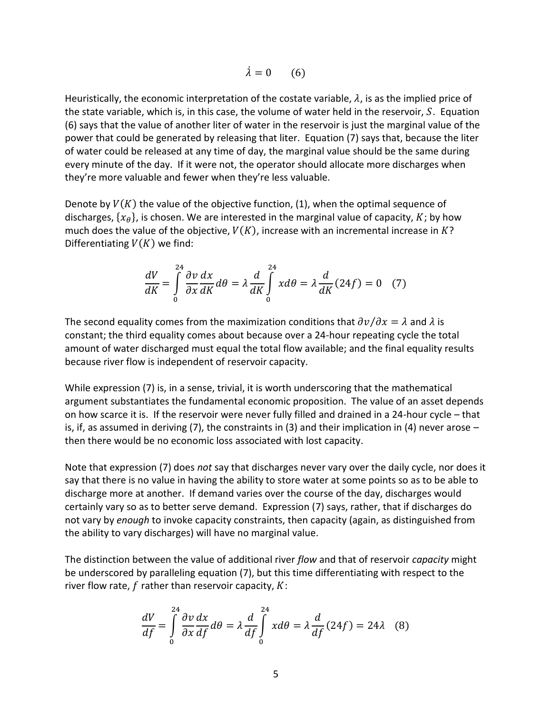$$
\dot{\lambda} = 0 \qquad (6)
$$

Heuristically, the economic interpretation of the costate variable,  $\lambda$ , is as the implied price of the state variable, which is, in this case, the volume of water held in the reservoir,  $S$ . Equation (6) says that the value of another liter of water in the reservoir is just the marginal value of the power that could be generated by releasing that liter. Equation (7) says that, because the liter of water could be released at any time of day, the marginal value should be the same during every minute of the day. If it were not, the operator should allocate more discharges when they're more valuable and fewer when they're less valuable.

Denote by  $V(K)$  the value of the objective function, (1), when the optimal sequence of discharges,  $\{x_{\theta}\}$ , is chosen. We are interested in the marginal value of capacity,  $K$ ; by how much does the value of the objective,  $V(K)$ , increase with an incremental increase in K? Differentiating  $V(K)$  we find:

$$
\frac{dV}{dK} = \int_{0}^{24} \frac{\partial v}{\partial x} \frac{dx}{dK} d\theta = \lambda \frac{d}{dK} \int_{0}^{24} x d\theta = \lambda \frac{d}{dK} (24f) = 0 \quad (7)
$$

The second equality comes from the maximization conditions that  $\partial v/\partial x = \lambda$  and  $\lambda$  is constant; the third equality comes about because over a 24-hour repeating cycle the total amount of water discharged must equal the total flow available; and the final equality results because river flow is independent of reservoir capacity.

While expression (7) is, in a sense, trivial, it is worth underscoring that the mathematical argument substantiates the fundamental economic proposition. The value of an asset depends on how scarce it is. If the reservoir were never fully filled and drained in a 24-hour cycle – that is, if, as assumed in deriving  $(7)$ , the constraints in  $(3)$  and their implication in  $(4)$  never arose – then there would be no economic loss associated with lost capacity.

Note that expression (7) does *not* say that discharges never vary over the daily cycle, nor does it say that there is no value in having the ability to store water at some points so as to be able to discharge more at another. If demand varies over the course of the day, discharges would certainly vary so as to better serve demand. Expression (7) says, rather, that if discharges do not vary by *enough* to invoke capacity constraints, then capacity (again, as distinguished from the ability to vary discharges) will have no marginal value.

The distinction between the value of additional river *flow* and that of reservoir *capacity* might be underscored by paralleling equation (7), but this time differentiating with respect to the river flow rate,  $f$  rather than reservoir capacity,  $K$ :

$$
\frac{dV}{df} = \int_{0}^{24} \frac{\partial v}{\partial x} \frac{dx}{df} d\theta = \lambda \frac{d}{df} \int_{0}^{24} x d\theta = \lambda \frac{d}{df} (24f) = 24\lambda \quad (8)
$$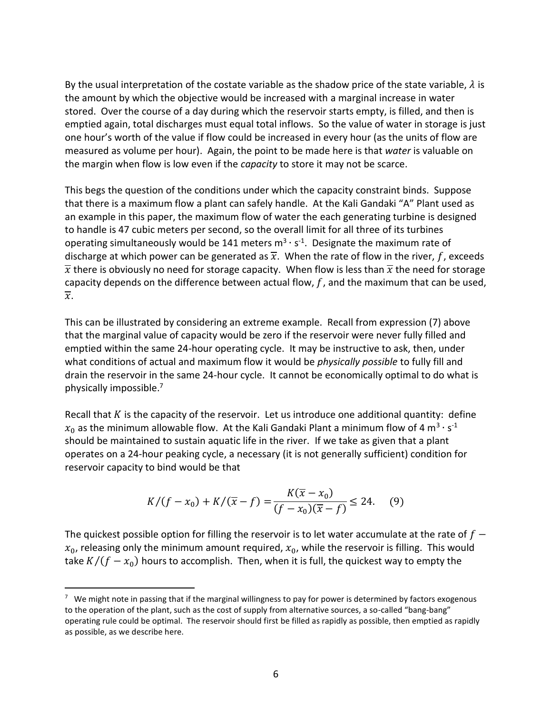By the usual interpretation of the costate variable as the shadow price of the state variable,  $\lambda$  is the amount by which the objective would be increased with a marginal increase in water stored. Over the course of a day during which the reservoir starts empty, is filled, and then is emptied again, total discharges must equal total inflows. So the value of water in storage is just one hour's worth of the value if flow could be increased in every hour (as the units of flow are measured as volume per hour). Again, the point to be made here is that *water* is valuable on the margin when flow is low even if the *capacity* to store it may not be scarce.

This begs the question of the conditions under which the capacity constraint binds. Suppose that there is a maximum flow a plant can safely handle. At the Kali Gandaki "A" Plant used as an example in this paper, the maximum flow of water the each generating turbine is designed to handle is 47 cubic meters per second, so the overall limit for all three of its turbines operating simultaneously would be 141 meters  $m^3 \cdot s^{-1}$ . Designate the maximum rate of discharge at which power can be generated as  $\overline{x}$ . When the rate of flow in the river, f, exceeds  $\overline{x}$  there is obviously no need for storage capacity. When flow is less than  $\overline{x}$  the need for storage capacity depends on the difference between actual flow,  $f$ , and the maximum that can be used,  $\overline{x}$ .

This can be illustrated by considering an extreme example. Recall from expression (7) above that the marginal value of capacity would be zero if the reservoir were never fully filled and emptied within the same 24-hour operating cycle. It may be instructive to ask, then, under what conditions of actual and maximum flow it would be *physically possible* to fully fill and drain the reservoir in the same 24-hour cycle. It cannot be economically optimal to do what is physically impossible. 7

Recall that  $K$  is the capacity of the reservoir. Let us introduce one additional quantity: define  $x_0$  as the minimum allowable flow. At the Kali Gandaki Plant a minimum flow of 4  $\mathsf{m}^3\cdot\mathsf{s}^{\text{-}1}$ should be maintained to sustain aquatic life in the river. If we take as given that a plant operates on a 24-hour peaking cycle, a necessary (it is not generally sufficient) condition for reservoir capacity to bind would be that

$$
K/(f - x_0) + K/(\overline{x} - f) = \frac{K(\overline{x} - x_0)}{(f - x_0)(\overline{x} - f)} \le 24. \tag{9}
$$

The quickest possible option for filling the reservoir is to let water accumulate at the rate of  $f$  $x_0$ , releasing only the minimum amount required,  $x_0$ , while the reservoir is filling. This would take  $K/(f - x_0)$  hours to accomplish. Then, when it is full, the quickest way to empty the

 $7$  We might note in passing that if the marginal willingness to pay for power is determined by factors exogenous to the operation of the plant, such as the cost of supply from alternative sources, a so-called "bang-bang" operating rule could be optimal. The reservoir should first be filled as rapidly as possible, then emptied as rapidly as possible, as we describe here.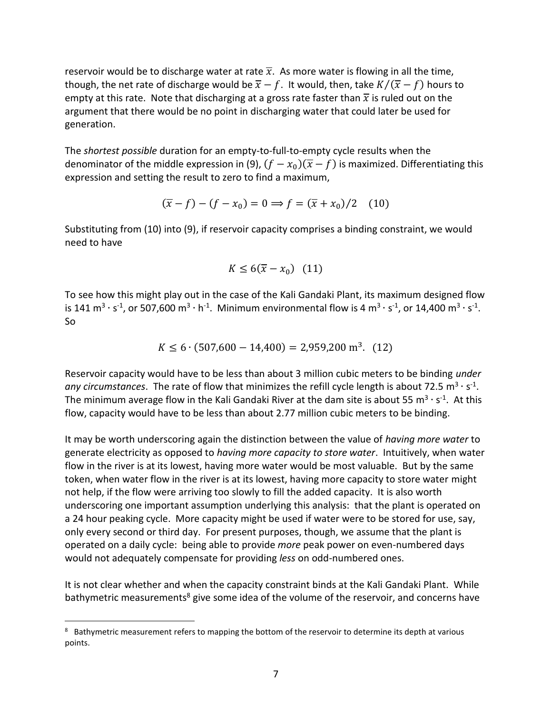reservoir would be to discharge water at rate  $\overline{x}$ . As more water is flowing in all the time, though, the net rate of discharge would be  $\overline{x} - f$ . It would, then, take  $K/(\overline{x} - f)$  hours to empty at this rate. Note that discharging at a gross rate faster than  $\bar{x}$  is ruled out on the argument that there would be no point in discharging water that could later be used for generation.

The *shortest possible* duration for an empty-to-full-to-empty cycle results when the denominator of the middle expression in (9),  $(f - x_0)(\overline{x} - f)$  is maximized. Differentiating this expression and setting the result to zero to find a maximum,

$$
(\overline{x} - f) - (f - x_0) = 0 \Rightarrow f = (\overline{x} + x_0)/2 \quad (10)
$$

Substituting from (10) into (9), if reservoir capacity comprises a binding constraint, we would need to have

$$
K \le 6(\overline{x} - x_0) \quad (11)
$$

To see how this might play out in the case of the Kali Gandaki Plant, its maximum designed flow is 141 m<sup>3</sup> · s<sup>-1</sup>, or 507,600 m<sup>3</sup> · h<sup>-1</sup>. Minimum environmental flow is 4 m<sup>3</sup> · s<sup>-1</sup>, or 14,400 m<sup>3</sup> · s<sup>-1</sup>. So

$$
K \le 6 \cdot (507,600 - 14,400) = 2,959,200 \text{ m}^3. (12)
$$

Reservoir capacity would have to be less than about 3 million cubic meters to be binding *under*  any circumstances. The rate of flow that minimizes the refill cycle length is about 72.5 m<sup>3</sup> · s<sup>-1</sup>. The minimum average flow in the Kali Gandaki River at the dam site is about 55 m<sup>3</sup> · s<sup>-1</sup>. At this flow, capacity would have to be less than about 2.77 million cubic meters to be binding.

It may be worth underscoring again the distinction between the value of *having more water* to generate electricity as opposed to *having more capacity to store water*. Intuitively, when water flow in the river is at its lowest, having more water would be most valuable. But by the same token, when water flow in the river is at its lowest, having more capacity to store water might not help, if the flow were arriving too slowly to fill the added capacity. It is also worth underscoring one important assumption underlying this analysis: that the plant is operated on a 24 hour peaking cycle. More capacity might be used if water were to be stored for use, say, only every second or third day. For present purposes, though, we assume that the plant is operated on a daily cycle: being able to provide *more* peak power on even-numbered days would not adequately compensate for providing *less* on odd-numbered ones.

It is not clear whether and when the capacity constraint binds at the Kali Gandaki Plant. While bathymetric measurements<sup>8</sup> give some idea of the volume of the reservoir, and concerns have

<sup>&</sup>lt;sup>8</sup> Bathymetric measurement refers to mapping the bottom of the reservoir to determine its depth at various points.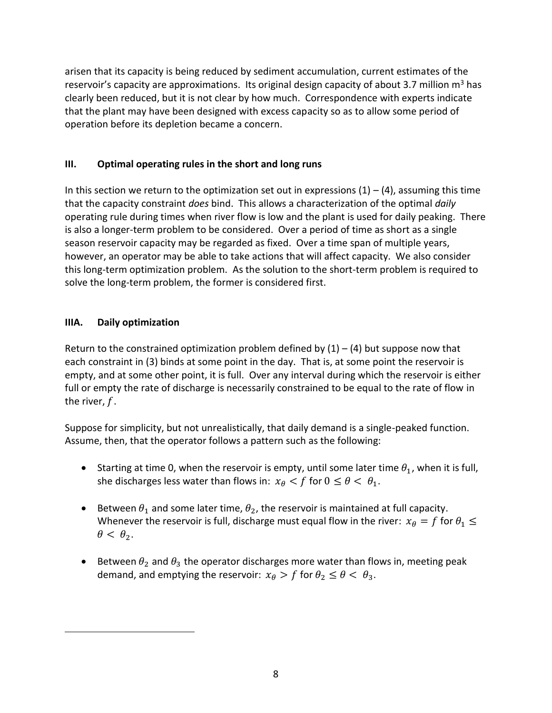arisen that its capacity is being reduced by sediment accumulation, current estimates of the reservoir's capacity are approximations. Its original design capacity of about 3.7 million  $m<sup>3</sup>$  has clearly been reduced, but it is not clear by how much. Correspondence with experts indicate that the plant may have been designed with excess capacity so as to allow some period of operation before its depletion became a concern.

## **III. Optimal operating rules in the short and long runs**

In this section we return to the optimization set out in expressions  $(1) - (4)$ , assuming this time that the capacity constraint *does* bind. This allows a characterization of the optimal *daily*  operating rule during times when river flow is low and the plant is used for daily peaking. There is also a longer-term problem to be considered. Over a period of time as short as a single season reservoir capacity may be regarded as fixed. Over a time span of multiple years, however, an operator may be able to take actions that will affect capacity. We also consider this long-term optimization problem. As the solution to the short-term problem is required to solve the long-term problem, the former is considered first.

## **IIIA. Daily optimization**

 $\overline{a}$ 

Return to the constrained optimization problem defined by  $(1) - (4)$  but suppose now that each constraint in (3) binds at some point in the day. That is, at some point the reservoir is empty, and at some other point, it is full. Over any interval during which the reservoir is either full or empty the rate of discharge is necessarily constrained to be equal to the rate of flow in the river,  $f$ .

Suppose for simplicity, but not unrealistically, that daily demand is a single-peaked function. Assume, then, that the operator follows a pattern such as the following:

- Starting at time 0, when the reservoir is empty, until some later time  $\theta_1$ , when it is full, she discharges less water than flows in:  $x_{\theta} < f$  for  $0 \le \theta < \theta_1$ .
- Extember  $\theta_1$  and some later time,  $\theta_2$ , the reservoir is maintained at full capacity. Whenever the reservoir is full, discharge must equal flow in the river:  $x_{\theta} = f$  for  $\theta_1 \leq$  $\theta < \theta_2$ .
- Elect Between  $\theta_2$  and  $\theta_3$  the operator discharges more water than flows in, meeting peak demand, and emptying the reservoir:  $x_{\theta} > f$  for  $\theta_2 \le \theta < \theta_3$ .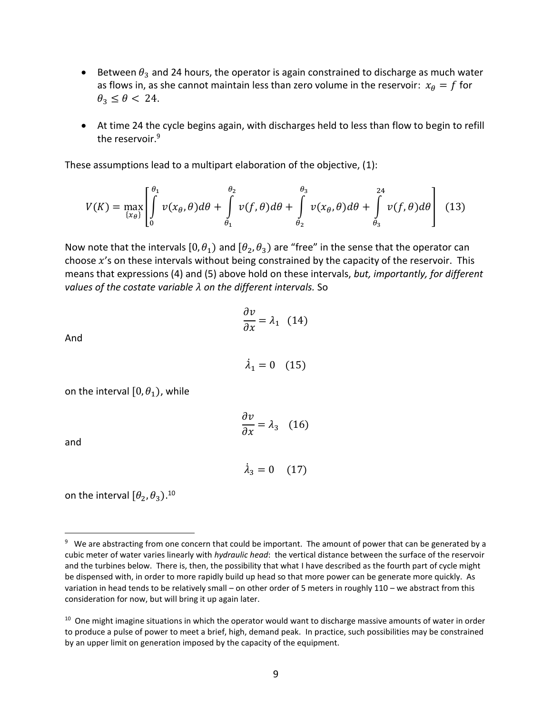- **•** Between  $\theta_3$  and 24 hours, the operator is again constrained to discharge as much water as flows in, as she cannot maintain less than zero volume in the reservoir:  $x_{\theta} = f$  for  $\theta_3 \leq \theta < 24$ .
- At time 24 the cycle begins again, with discharges held to less than flow to begin to refill the reservoir.<sup>9</sup>

These assumptions lead to a multipart elaboration of the objective, (1):

$$
V(K) = \max_{\{x_{\theta}\}} \left[ \int_{0}^{\theta_{1}} v(x_{\theta}, \theta) d\theta + \int_{\theta_{1}}^{\theta_{2}} v(f, \theta) d\theta + \int_{\theta_{2}}^{\theta_{3}} v(x_{\theta}, \theta) d\theta + \int_{\theta_{3}}^{24} v(f, \theta) d\theta \right]
$$
(13)

Now note that the intervals [0,  $\theta_1$ ) and [ $\theta_2$ ,  $\theta_3$ ) are "free" in the sense that the operator can choose  $x'$ s on these intervals without being constrained by the capacity of the reservoir. This means that expressions (4) and (5) above hold on these intervals, *but, importantly, for different values of the costate variable on the different intervals.* So

$$
\frac{\partial v}{\partial x} = \lambda_1 \quad (14)
$$

And

 $\dot{\lambda}_1 = 0$  (15)

on the interval  $[0, \theta_1)$ , while

$$
\frac{\partial v}{\partial x} = \lambda_3 \quad (16)
$$

and

 $\overline{a}$ 

$$
\dot{\lambda}_3 = 0 \quad (17)
$$

on the interval  $[\theta_2, \theta_3)$ .<sup>10</sup>

<sup>&</sup>lt;sup>9</sup> We are abstracting from one concern that could be important. The amount of power that can be generated by a cubic meter of water varies linearly with *hydraulic head*: the vertical distance between the surface of the reservoir and the turbines below. There is, then, the possibility that what I have described as the fourth part of cycle might be dispensed with, in order to more rapidly build up head so that more power can be generate more quickly. As variation in head tends to be relatively small – on other order of 5 meters in roughly 110 – we abstract from this consideration for now, but will bring it up again later.

<sup>&</sup>lt;sup>10</sup> One might imagine situations in which the operator would want to discharge massive amounts of water in order to produce a pulse of power to meet a brief, high, demand peak. In practice, such possibilities may be constrained by an upper limit on generation imposed by the capacity of the equipment.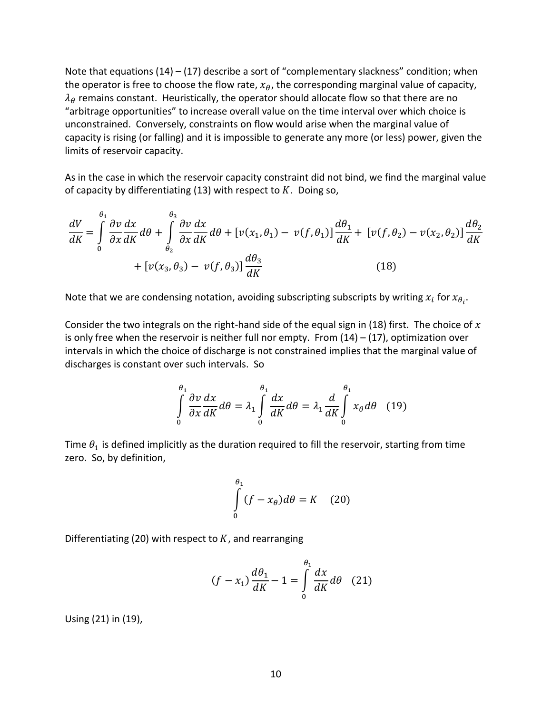Note that equations (14) – (17) describe a sort of "complementary slackness" condition; when the operator is free to choose the flow rate,  $x_{\theta}$ , the corresponding marginal value of capacity,  $\lambda_{\theta}$  remains constant. Heuristically, the operator should allocate flow so that there are no "arbitrage opportunities" to increase overall value on the time interval over which choice is unconstrained. Conversely, constraints on flow would arise when the marginal value of capacity is rising (or falling) and it is impossible to generate any more (or less) power, given the limits of reservoir capacity.

As in the case in which the reservoir capacity constraint did not bind, we find the marginal value of capacity by differentiating (13) with respect to  $K$ . Doing so,

$$
\frac{dV}{dK} = \int_{0}^{\theta_1} \frac{\partial v}{\partial x} \frac{dx}{dK} d\theta + \int_{\theta_2}^{\theta_3} \frac{\partial v}{\partial x} \frac{dx}{dK} d\theta + \left[ v(x_1, \theta_1) - v(f, \theta_1) \right] \frac{d\theta_1}{dK} + \left[ v(f, \theta_2) - v(x_2, \theta_2) \right] \frac{d\theta_2}{dK}
$$

$$
+ \left[ v(x_3, \theta_3) - v(f, \theta_3) \right] \frac{d\theta_3}{dK}
$$
(18)

Note that we are condensing notation, avoiding subscripting subscripts by writing  $x_i$  for  $x_{\theta_i}$ .

Consider the two integrals on the right-hand side of the equal sign in (18) first. The choice of  $x$ is only free when the reservoir is neither full nor empty. From  $(14) - (17)$ , optimization over intervals in which the choice of discharge is not constrained implies that the marginal value of discharges is constant over such intervals. So

$$
\int_{0}^{\theta_1} \frac{\partial v}{\partial x} \frac{dx}{dK} d\theta = \lambda_1 \int_{0}^{\theta_1} \frac{dx}{dK} d\theta = \lambda_1 \frac{d}{dK} \int_{0}^{\theta_1} x_{\theta} d\theta \quad (19)
$$

Time  $\theta_1$  is defined implicitly as the duration required to fill the reservoir, starting from time zero. So, by definition,

$$
\int_{0}^{\theta_1} (f - x_{\theta}) d\theta = K \quad (20)
$$

Differentiating (20) with respect to  $K$ , and rearranging

$$
(f - x_1) \frac{d\theta_1}{dK} - 1 = \int\limits_0^{\theta_1} \frac{dx}{dK} d\theta \quad (21)
$$

Using (21) in (19),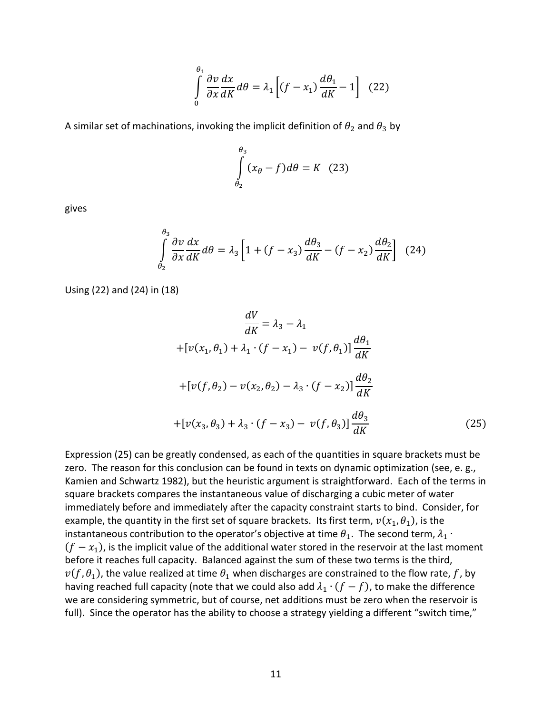$$
\int_{0}^{\theta_1} \frac{\partial v}{\partial x} \frac{dx}{dK} d\theta = \lambda_1 \left[ (f - x_1) \frac{d\theta_1}{dK} - 1 \right] \tag{22}
$$

A similar set of machinations, invoking the implicit definition of  $\theta_2$  and  $\theta_3$  by

$$
\int_{\theta_2}^{\theta_3} (x_\theta - f) d\theta = K \quad (23)
$$

gives

$$
\int_{\theta_2}^{\theta_3} \frac{\partial v}{\partial x} \frac{dx}{dK} d\theta = \lambda_3 \left[ 1 + (f - x_3) \frac{d\theta_3}{dK} - (f - x_2) \frac{d\theta_2}{dK} \right] \tag{24}
$$

Using (22) and (24) in (18)

$$
\frac{dV}{dK} = \lambda_3 - \lambda_1
$$
  
+
$$
[v(x_1, \theta_1) + \lambda_1 \cdot (f - x_1) - v(f, \theta_1)] \frac{d\theta_1}{dK}
$$
  
+
$$
[v(f, \theta_2) - v(x_2, \theta_2) - \lambda_3 \cdot (f - x_2)] \frac{d\theta_2}{dK}
$$
  
+
$$
[v(x_3, \theta_3) + \lambda_3 \cdot (f - x_3) - v(f, \theta_3)] \frac{d\theta_3}{dK}
$$
(25)

Expression (25) can be greatly condensed, as each of the quantities in square brackets must be zero. The reason for this conclusion can be found in texts on dynamic optimization (see, e. g., Kamien and Schwartz 1982), but the heuristic argument is straightforward. Each of the terms in square brackets compares the instantaneous value of discharging a cubic meter of water immediately before and immediately after the capacity constraint starts to bind. Consider, for example, the quantity in the first set of square brackets. Its first term,  $v(x_1, \theta_1)$ , is the instantaneous contribution to the operator's objective at time  $\theta_1$ . The second term,  $\lambda_1 \cdot$  $(f - x_1)$ , is the implicit value of the additional water stored in the reservoir at the last moment before it reaches full capacity. Balanced against the sum of these two terms is the third,  $v(f, \theta_1)$ , the value realized at time  $\theta_1$  when discharges are constrained to the flow rate,  $f$ , by having reached full capacity (note that we could also add  $\lambda_1 \cdot (f - f)$ , to make the difference we are considering symmetric, but of course, net additions must be zero when the reservoir is full). Since the operator has the ability to choose a strategy yielding a different "switch time,"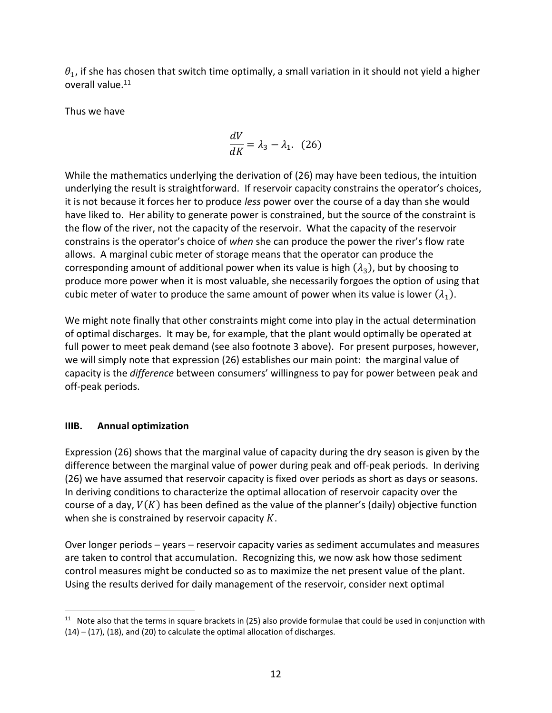$\theta_1$ , if she has chosen that switch time optimally, a small variation in it should not yield a higher overall value.<sup>11</sup>

Thus we have

$$
\frac{dV}{dK} = \lambda_3 - \lambda_1. \quad (26)
$$

While the mathematics underlying the derivation of (26) may have been tedious, the intuition underlying the result is straightforward. If reservoir capacity constrains the operator's choices, it is not because it forces her to produce *less* power over the course of a day than she would have liked to. Her ability to generate power is constrained, but the source of the constraint is the flow of the river, not the capacity of the reservoir. What the capacity of the reservoir constrains is the operator's choice of *when* she can produce the power the river's flow rate allows. A marginal cubic meter of storage means that the operator can produce the corresponding amount of additional power when its value is high  $(\lambda_3)$ , but by choosing to produce more power when it is most valuable, she necessarily forgoes the option of using that cubic meter of water to produce the same amount of power when its value is lower  $(\lambda_1).$ 

We might note finally that other constraints might come into play in the actual determination of optimal discharges. It may be, for example, that the plant would optimally be operated at full power to meet peak demand (see also footnote 3 above). For present purposes, however, we will simply note that expression (26) establishes our main point: the marginal value of capacity is the *difference* between consumers' willingness to pay for power between peak and off-peak periods.

### **IIIB. Annual optimization**

Expression (26) shows that the marginal value of capacity during the dry season is given by the difference between the marginal value of power during peak and off-peak periods. In deriving (26) we have assumed that reservoir capacity is fixed over periods as short as days or seasons. In deriving conditions to characterize the optimal allocation of reservoir capacity over the course of a day,  $V(K)$  has been defined as the value of the planner's (daily) objective function when she is constrained by reservoir capacity  $K$ .

Over longer periods – years – reservoir capacity varies as sediment accumulates and measures are taken to control that accumulation. Recognizing this, we now ask how those sediment control measures might be conducted so as to maximize the net present value of the plant. Using the results derived for daily management of the reservoir, consider next optimal

 $\overline{a}$ <sup>11</sup> Note also that the terms in square brackets in (25) also provide formulae that could be used in conjunction with (14) – (17), (18), and (20) to calculate the optimal allocation of discharges.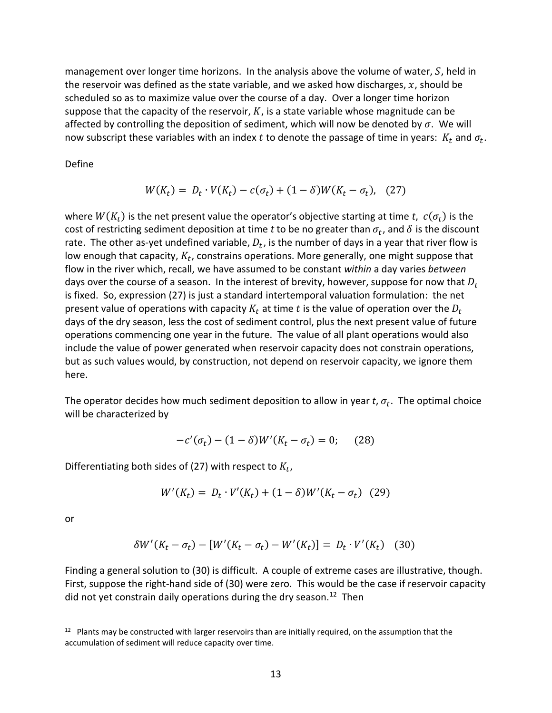management over longer time horizons. In the analysis above the volume of water,  $S$ , held in the reservoir was defined as the state variable, and we asked how discharges,  $x$ , should be scheduled so as to maximize value over the course of a day. Over a longer time horizon suppose that the capacity of the reservoir,  $K$ , is a state variable whose magnitude can be affected by controlling the deposition of sediment, which will now be denoted by  $\sigma$ . We will now subscript these variables with an index  $t$  to denote the passage of time in years:  $K_t$  and  $\sigma_t$ .

Define

$$
W(K_t) = D_t \cdot V(K_t) - c(\sigma_t) + (1 - \delta)W(K_t - \sigma_t), \quad (27)
$$

where  $W(K_t)$  is the net present value the operator's objective starting at time *t*,  $c(\sigma_t)$  is the cost of restricting sediment deposition at time *t* to be no greater than  $\sigma_t$ , and  $\delta$  is the discount rate. The other as-yet undefined variable,  $D_t$ , is the number of days in a year that river flow is low enough that capacity,  $K_t$ , constrains operations. More generally, one might suppose that flow in the river which, recall, we have assumed to be constant *within* a day varies *between* days over the course of a season. In the interest of brevity, however, suppose for now that  $D_t$ is fixed. So, expression (27) is just a standard intertemporal valuation formulation: the net present value of operations with capacity  $K_t$  at time t is the value of operation over the  $D_t$ days of the dry season, less the cost of sediment control, plus the next present value of future operations commencing one year in the future. The value of all plant operations would also include the value of power generated when reservoir capacity does not constrain operations, but as such values would, by construction, not depend on reservoir capacity, we ignore them here.

The operator decides how much sediment deposition to allow in year  $t$ ,  $\sigma_t$ . The optimal choice will be characterized by

$$
-c'(\sigma_t) - (1 - \delta)W'(K_t - \sigma_t) = 0; \quad (28)
$$

Differentiating both sides of (27) with respect to  $K_t$ ,

$$
W'(K_t) = D_t \cdot V'(K_t) + (1 - \delta)W'(K_t - \sigma_t) \quad (29)
$$

or

 $\overline{a}$ 

$$
\delta W'(K_t - \sigma_t) - [W'(K_t - \sigma_t) - W'(K_t)] = D_t \cdot V'(K_t) \quad (30)
$$

Finding a general solution to (30) is difficult. A couple of extreme cases are illustrative, though. First, suppose the right-hand side of (30) were zero. This would be the case if reservoir capacity did not yet constrain daily operations during the dry season.<sup>12</sup> Then

 $12$  Plants may be constructed with larger reservoirs than are initially required, on the assumption that the accumulation of sediment will reduce capacity over time.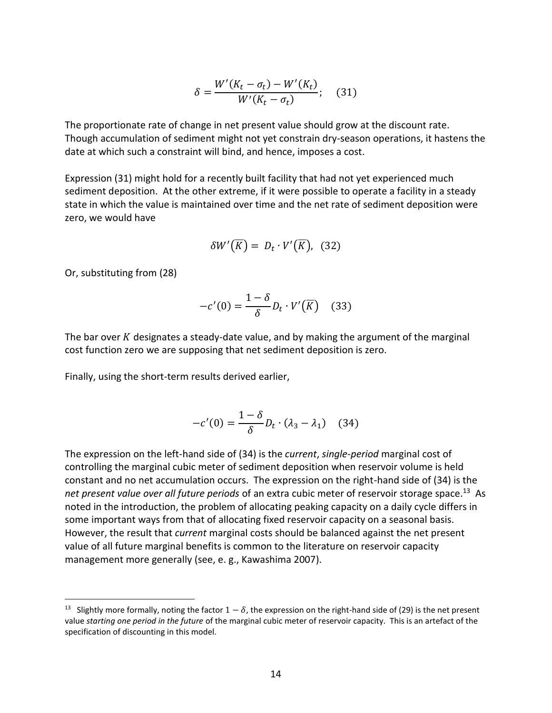$$
\delta = \frac{W'(K_t - \sigma_t) - W'(K_t)}{W'(K_t - \sigma_t)}; \quad (31)
$$

The proportionate rate of change in net present value should grow at the discount rate. Though accumulation of sediment might not yet constrain dry-season operations, it hastens the date at which such a constraint will bind, and hence, imposes a cost.

Expression (31) might hold for a recently built facility that had not yet experienced much sediment deposition. At the other extreme, if it were possible to operate a facility in a steady state in which the value is maintained over time and the net rate of sediment deposition were zero, we would have

$$
\delta W'(\overline{K}) = D_t \cdot V'(\overline{K}), \quad (32)
$$

Or, substituting from (28)

 $\overline{a}$ 

$$
-c'(0) = \frac{1-\delta}{\delta}D_t \cdot V'(\overline{K}) \quad (33)
$$

The bar over  $K$  designates a steady-date value, and by making the argument of the marginal cost function zero we are supposing that net sediment deposition is zero.

Finally, using the short-term results derived earlier,

$$
-c'(0) = \frac{1-\delta}{\delta}D_t \cdot (\lambda_3 - \lambda_1) \quad (34)
$$

The expression on the left-hand side of (34) is the *current*, *single-period* marginal cost of controlling the marginal cubic meter of sediment deposition when reservoir volume is held constant and no net accumulation occurs. The expression on the right-hand side of (34) is the net present value over all future periods of an extra cubic meter of reservoir storage space.<sup>13</sup> As noted in the introduction, the problem of allocating peaking capacity on a daily cycle differs in some important ways from that of allocating fixed reservoir capacity on a seasonal basis. However, the result that *current* marginal costs should be balanced against the net present value of all future marginal benefits is common to the literature on reservoir capacity management more generally (see, e. g., Kawashima 2007).

<sup>&</sup>lt;sup>13</sup> Slightly more formally, noting the factor  $1-\delta$ , the expression on the right-hand side of (29) is the net present value *starting one period in the future* of the marginal cubic meter of reservoir capacity. This is an artefact of the specification of discounting in this model.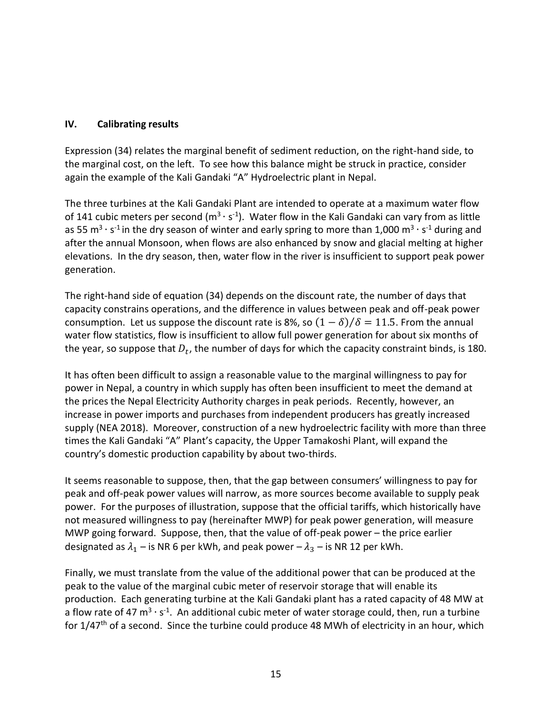### **IV. Calibrating results**

Expression (34) relates the marginal benefit of sediment reduction, on the right-hand side, to the marginal cost, on the left. To see how this balance might be struck in practice, consider again the example of the Kali Gandaki "A" Hydroelectric plant in Nepal.

The three turbines at the Kali Gandaki Plant are intended to operate at a maximum water flow of 141 cubic meters per second ( $m^3 \cdot s^{-1}$ ). Water flow in the Kali Gandaki can vary from as little as 55 m<sup>3</sup> · s<sup>-1</sup> in the dry season of winter and early spring to more than 1,000 m<sup>3</sup> · s<sup>-1</sup> during and after the annual Monsoon, when flows are also enhanced by snow and glacial melting at higher elevations. In the dry season, then, water flow in the river is insufficient to support peak power generation.

The right-hand side of equation (34) depends on the discount rate, the number of days that capacity constrains operations, and the difference in values between peak and off-peak power consumption. Let us suppose the discount rate is 8%, so  $(1 - \delta)/\delta = 11.5$ . From the annual water flow statistics, flow is insufficient to allow full power generation for about six months of the year, so suppose that  $D_t$ , the number of days for which the capacity constraint binds, is 180.

It has often been difficult to assign a reasonable value to the marginal willingness to pay for power in Nepal, a country in which supply has often been insufficient to meet the demand at the prices the Nepal Electricity Authority charges in peak periods. Recently, however, an increase in power imports and purchases from independent producers has greatly increased supply (NEA 2018). Moreover, construction of a new hydroelectric facility with more than three times the Kali Gandaki "A" Plant's capacity, the Upper Tamakoshi Plant, will expand the country's domestic production capability by about two-thirds.

It seems reasonable to suppose, then, that the gap between consumers' willingness to pay for peak and off-peak power values will narrow, as more sources become available to supply peak power. For the purposes of illustration, suppose that the official tariffs, which historically have not measured willingness to pay (hereinafter MWP) for peak power generation, will measure MWP going forward. Suppose, then, that the value of off-peak power – the price earlier designated as  $\lambda_1$  – is NR 6 per kWh, and peak power –  $\lambda_3$  – is NR 12 per kWh.

Finally, we must translate from the value of the additional power that can be produced at the peak to the value of the marginal cubic meter of reservoir storage that will enable its production. Each generating turbine at the Kali Gandaki plant has a rated capacity of 48 MW at a flow rate of 47 m<sup>3</sup> · s<sup>-1</sup>. An additional cubic meter of water storage could, then, run a turbine for 1/47<sup>th</sup> of a second. Since the turbine could produce 48 MWh of electricity in an hour, which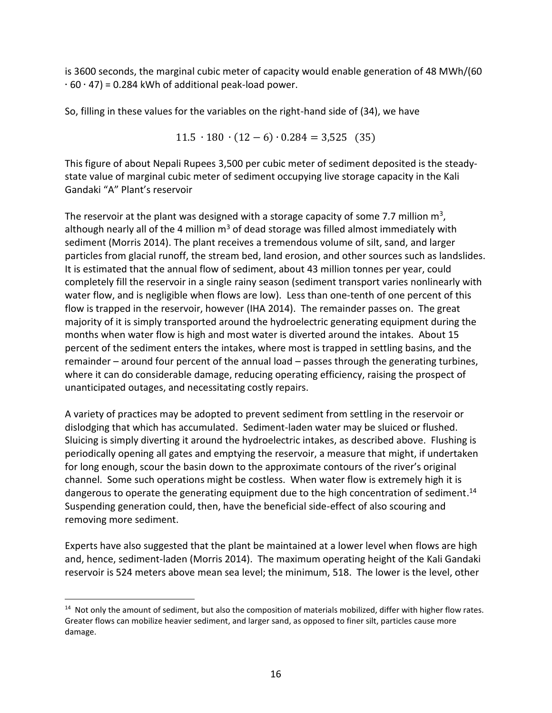is 3600 seconds, the marginal cubic meter of capacity would enable generation of 48 MWh/(60  $\cdot$  60 $\cdot$  47) = 0.284 kWh of additional peak-load power.

So, filling in these values for the variables on the right-hand side of (34), we have

$$
11.5 \cdot 180 \cdot (12 - 6) \cdot 0.284 = 3{,}525 \quad (35)
$$

This figure of about Nepali Rupees 3,500 per cubic meter of sediment deposited is the steadystate value of marginal cubic meter of sediment occupying live storage capacity in the Kali Gandaki "A" Plant's reservoir

The reservoir at the plant was designed with a storage capacity of some 7.7 million  $m^3$ , although nearly all of the 4 million  $m<sup>3</sup>$  of dead storage was filled almost immediately with sediment (Morris 2014). The plant receives a tremendous volume of silt, sand, and larger particles from glacial runoff, the stream bed, land erosion, and other sources such as landslides. It is estimated that the annual flow of sediment, about 43 million tonnes per year, could completely fill the reservoir in a single rainy season (sediment transport varies nonlinearly with water flow, and is negligible when flows are low). Less than one-tenth of one percent of this flow is trapped in the reservoir, however (IHA 2014). The remainder passes on. The great majority of it is simply transported around the hydroelectric generating equipment during the months when water flow is high and most water is diverted around the intakes. About 15 percent of the sediment enters the intakes, where most is trapped in settling basins, and the remainder – around four percent of the annual load – passes through the generating turbines, where it can do considerable damage, reducing operating efficiency, raising the prospect of unanticipated outages, and necessitating costly repairs.

A variety of practices may be adopted to prevent sediment from settling in the reservoir or dislodging that which has accumulated. Sediment-laden water may be sluiced or flushed. Sluicing is simply diverting it around the hydroelectric intakes, as described above. Flushing is periodically opening all gates and emptying the reservoir, a measure that might, if undertaken for long enough, scour the basin down to the approximate contours of the river's original channel. Some such operations might be costless. When water flow is extremely high it is dangerous to operate the generating equipment due to the high concentration of sediment.<sup>14</sup> Suspending generation could, then, have the beneficial side-effect of also scouring and removing more sediment.

Experts have also suggested that the plant be maintained at a lower level when flows are high and, hence, sediment-laden (Morris 2014). The maximum operating height of the Kali Gandaki reservoir is 524 meters above mean sea level; the minimum, 518. The lower is the level, other

 $\overline{a}$ <sup>14</sup> Not only the amount of sediment, but also the composition of materials mobilized, differ with higher flow rates. Greater flows can mobilize heavier sediment, and larger sand, as opposed to finer silt, particles cause more damage.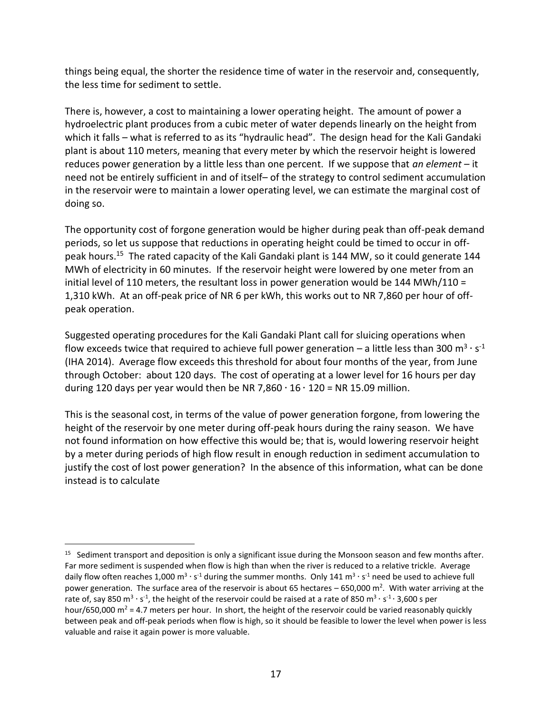things being equal, the shorter the residence time of water in the reservoir and, consequently, the less time for sediment to settle.

There is, however, a cost to maintaining a lower operating height. The amount of power a hydroelectric plant produces from a cubic meter of water depends linearly on the height from which it falls – what is referred to as its "hydraulic head". The design head for the Kali Gandaki plant is about 110 meters, meaning that every meter by which the reservoir height is lowered reduces power generation by a little less than one percent. If we suppose that *an element* – it need not be entirely sufficient in and of itself– of the strategy to control sediment accumulation in the reservoir were to maintain a lower operating level, we can estimate the marginal cost of doing so.

The opportunity cost of forgone generation would be higher during peak than off-peak demand periods, so let us suppose that reductions in operating height could be timed to occur in offpeak hours.<sup>15</sup> The rated capacity of the Kali Gandaki plant is 144 MW, so it could generate 144 MWh of electricity in 60 minutes. If the reservoir height were lowered by one meter from an initial level of 110 meters, the resultant loss in power generation would be 144 MWh/110 = 1,310 kWh. At an off-peak price of NR 6 per kWh, this works out to NR 7,860 per hour of offpeak operation.

Suggested operating procedures for the Kali Gandaki Plant call for sluicing operations when flow exceeds twice that required to achieve full power generation – a little less than 300  $\text{m}^3 \cdot \text{s}^{-1}$ (IHA 2014). Average flow exceeds this threshold for about four months of the year, from June through October: about 120 days. The cost of operating at a lower level for 16 hours per day during 120 days per year would then be NR 7,860  $\cdot$  16  $\cdot$  120 = NR 15.09 million.

This is the seasonal cost, in terms of the value of power generation forgone, from lowering the height of the reservoir by one meter during off-peak hours during the rainy season. We have not found information on how effective this would be; that is, would lowering reservoir height by a meter during periods of high flow result in enough reduction in sediment accumulation to justify the cost of lost power generation? In the absence of this information, what can be done instead is to calculate

<sup>&</sup>lt;sup>15</sup> Sediment transport and deposition is only a significant issue during the Monsoon season and few months after. Far more sediment is suspended when flow is high than when the river is reduced to a relative trickle. Average daily flow often reaches 1,000 m<sup>3</sup> ⋅ s<sup>-1</sup> during the summer months. Only 141 m<sup>3</sup> ⋅ s<sup>-1</sup> need be used to achieve full power generation. The surface area of the reservoir is about 65 hectares – 650,000 m<sup>2</sup>. With water arriving at the rate of, say 850 m<sup>3</sup> ⋅ s<sup>-1</sup>, the height of the reservoir could be raised at a rate of 850 m<sup>3</sup> ⋅ s<sup>-1</sup> ⋅ 3,600 s per hour/650,000  $m^2$  = 4.7 meters per hour. In short, the height of the reservoir could be varied reasonably quickly between peak and off-peak periods when flow is high, so it should be feasible to lower the level when power is less valuable and raise it again power is more valuable.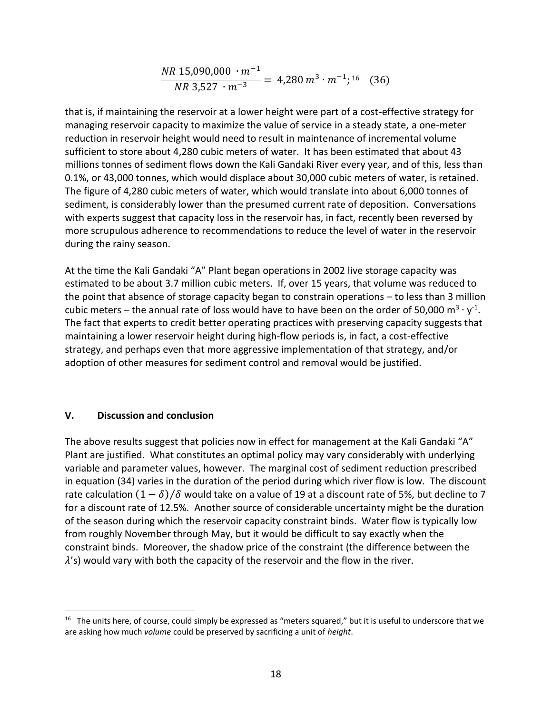$$
\frac{NR \ 15,090,000 \cdot m^{-1}}{NR \ 3,527 \cdot m^{-3}} = 4,280 \ m^{3} \cdot m^{-1};^{16} \quad (36)
$$

that is, if maintaining the reservoir at a lower height were part of a cost-effective strategy for managing reservoir capacity to maximize the value of service in a steady state, a one-meter reduction in reservoir height would need to result in maintenance of incremental volume sufficient to store about 4,280 cubic meters of water. It has been estimated that about 43 millions tonnes of sediment flows down the Kali Gandaki River every year, and of this, less than 0.1%, or 43,000 tonnes, which would displace about 30,000 cubic meters of water, is retained. The figure of 4,280 cubic meters of water, which would translate into about 6,000 tonnes of sediment, is considerably lower than the presumed current rate of deposition. Conversations with experts suggest that capacity loss in the reservoir has, in fact, recently been reversed by more scrupulous adherence to recommendations to reduce the level of water in the reservoir during the rainy season.

At the time the Kali Gandaki "A" Plant began operations in 2002 live storage capacity was estimated to be about 3.7 million cubic meters. If, over 15 years, that volume was reduced to the point that absence of storage capacity began to constrain operations – to less than 3 million cubic meters – the annual rate of loss would have to have been on the order of 50,000 m<sup>3</sup> · y<sup>-1</sup>. The fact that experts to credit better operating practices with preserving capacity suggests that maintaining a lower reservoir height during high-flow periods is, in fact, a cost-effective strategy, and perhaps even that more aggressive implementation of that strategy, and/or adoption of other measures for sediment control and removal would be justified.

### **V. Discussion and conclusion**

 $\overline{a}$ 

The above results suggest that policies now in effect for management at the Kali Gandaki "A" Plant are justified. What constitutes an optimal policy may vary considerably with underlying variable and parameter values, however. The marginal cost of sediment reduction prescribed in equation (34) varies in the duration of the period during which river flow is low. The discount rate calculation  $(1 - \delta)/\delta$  would take on a value of 19 at a discount rate of 5%, but decline to 7 for a discount rate of 12.5%. Another source of considerable uncertainty might be the duration of the season during which the reservoir capacity constraint binds. Water flow is typically low from roughly November through May, but it would be difficult to say exactly when the constraint binds. Moreover, the shadow price of the constraint (the difference between the  $\lambda$ 's) would vary with both the capacity of the reservoir and the flow in the river.

<sup>&</sup>lt;sup>16</sup> The units here, of course, could simply be expressed as "meters squared," but it is useful to underscore that we are asking how much *volume* could be preserved by sacrificing a unit of *height*.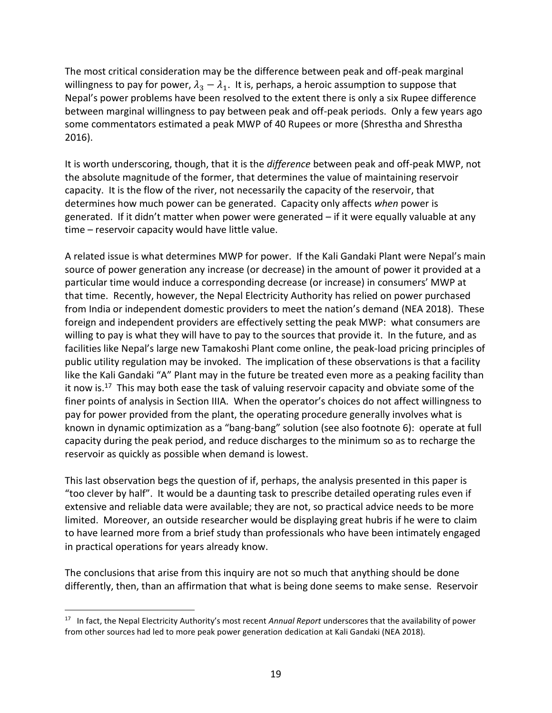The most critical consideration may be the difference between peak and off-peak marginal willingness to pay for power,  $\lambda_3 - \lambda_1$ . It is, perhaps, a heroic assumption to suppose that Nepal's power problems have been resolved to the extent there is only a six Rupee difference between marginal willingness to pay between peak and off-peak periods. Only a few years ago some commentators estimated a peak MWP of 40 Rupees or more (Shrestha and Shrestha 2016).

It is worth underscoring, though, that it is the *difference* between peak and off-peak MWP, not the absolute magnitude of the former, that determines the value of maintaining reservoir capacity. It is the flow of the river, not necessarily the capacity of the reservoir, that determines how much power can be generated. Capacity only affects *when* power is generated. If it didn't matter when power were generated – if it were equally valuable at any time – reservoir capacity would have little value.

A related issue is what determines MWP for power. If the Kali Gandaki Plant were Nepal's main source of power generation any increase (or decrease) in the amount of power it provided at a particular time would induce a corresponding decrease (or increase) in consumers' MWP at that time. Recently, however, the Nepal Electricity Authority has relied on power purchased from India or independent domestic providers to meet the nation's demand (NEA 2018). These foreign and independent providers are effectively setting the peak MWP: what consumers are willing to pay is what they will have to pay to the sources that provide it. In the future, and as facilities like Nepal's large new Tamakoshi Plant come online, the peak-load pricing principles of public utility regulation may be invoked. The implication of these observations is that a facility like the Kali Gandaki "A" Plant may in the future be treated even more as a peaking facility than it now is.<sup>17</sup> This may both ease the task of valuing reservoir capacity and obviate some of the finer points of analysis in Section IIIA. When the operator's choices do not affect willingness to pay for power provided from the plant, the operating procedure generally involves what is known in dynamic optimization as a "bang-bang" solution (see also footnote 6): operate at full capacity during the peak period, and reduce discharges to the minimum so as to recharge the reservoir as quickly as possible when demand is lowest.

This last observation begs the question of if, perhaps, the analysis presented in this paper is "too clever by half". It would be a daunting task to prescribe detailed operating rules even if extensive and reliable data were available; they are not, so practical advice needs to be more limited. Moreover, an outside researcher would be displaying great hubris if he were to claim to have learned more from a brief study than professionals who have been intimately engaged in practical operations for years already know.

The conclusions that arise from this inquiry are not so much that anything should be done differently, then, than an affirmation that what is being done seems to make sense. Reservoir

<sup>&</sup>lt;sup>17</sup> In fact, the Nepal Electricity Authority's most recent *Annual Report* underscores that the availability of power from other sources had led to more peak power generation dedication at Kali Gandaki (NEA 2018).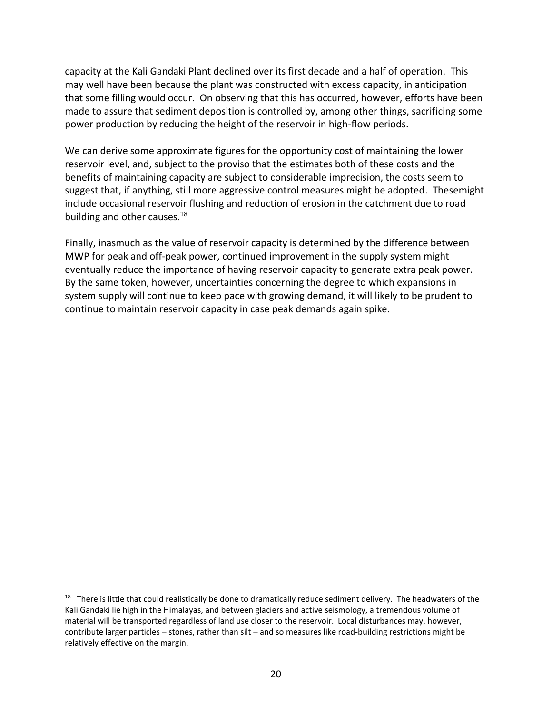capacity at the Kali Gandaki Plant declined over its first decade and a half of operation. This may well have been because the plant was constructed with excess capacity, in anticipation that some filling would occur. On observing that this has occurred, however, efforts have been made to assure that sediment deposition is controlled by, among other things, sacrificing some power production by reducing the height of the reservoir in high-flow periods.

We can derive some approximate figures for the opportunity cost of maintaining the lower reservoir level, and, subject to the proviso that the estimates both of these costs and the benefits of maintaining capacity are subject to considerable imprecision, the costs seem to suggest that, if anything, still more aggressive control measures might be adopted. Thesemight include occasional reservoir flushing and reduction of erosion in the catchment due to road building and other causes.<sup>18</sup>

Finally, inasmuch as the value of reservoir capacity is determined by the difference between MWP for peak and off-peak power, continued improvement in the supply system might eventually reduce the importance of having reservoir capacity to generate extra peak power. By the same token, however, uncertainties concerning the degree to which expansions in system supply will continue to keep pace with growing demand, it will likely to be prudent to continue to maintain reservoir capacity in case peak demands again spike.

 $18$  There is little that could realistically be done to dramatically reduce sediment delivery. The headwaters of the Kali Gandaki lie high in the Himalayas, and between glaciers and active seismology, a tremendous volume of material will be transported regardless of land use closer to the reservoir. Local disturbances may, however, contribute larger particles – stones, rather than silt – and so measures like road-building restrictions might be relatively effective on the margin.